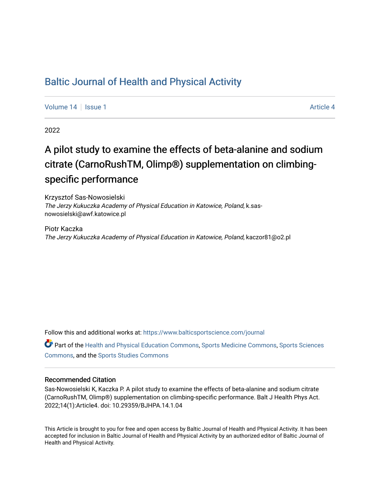### [Baltic Journal of Health and Physical Activity](https://www.balticsportscience.com/journal)

[Volume 14](https://www.balticsportscience.com/journal/vol14) Suitsue 1 [Article 4](https://www.balticsportscience.com/journal/vol14/iss1/4) Article 4 Article 4

2022

## A pilot study to examine the effects of beta-alanine and sodium citrate (CarnoRushTM, Olimp®) supplementation on climbingspecific performance

Krzysztof Sas-Nowosielski The Jerzy Kukuczka Academy of Physical Education in Katowice, Poland, k.sasnowosielski@awf.katowice.pl

Piotr Kaczka The Jerzy Kukuczka Academy of Physical Education in Katowice, Poland, kaczor81@o2.pl

Follow this and additional works at: [https://www.balticsportscience.com/journal](https://www.balticsportscience.com/journal?utm_source=www.balticsportscience.com%2Fjournal%2Fvol14%2Fiss1%2F4&utm_medium=PDF&utm_campaign=PDFCoverPages) 

Part of the [Health and Physical Education Commons](https://network.bepress.com/hgg/discipline/1327?utm_source=www.balticsportscience.com%2Fjournal%2Fvol14%2Fiss1%2F4&utm_medium=PDF&utm_campaign=PDFCoverPages), [Sports Medicine Commons,](https://network.bepress.com/hgg/discipline/1331?utm_source=www.balticsportscience.com%2Fjournal%2Fvol14%2Fiss1%2F4&utm_medium=PDF&utm_campaign=PDFCoverPages) [Sports Sciences](https://network.bepress.com/hgg/discipline/759?utm_source=www.balticsportscience.com%2Fjournal%2Fvol14%2Fiss1%2F4&utm_medium=PDF&utm_campaign=PDFCoverPages) [Commons](https://network.bepress.com/hgg/discipline/759?utm_source=www.balticsportscience.com%2Fjournal%2Fvol14%2Fiss1%2F4&utm_medium=PDF&utm_campaign=PDFCoverPages), and the [Sports Studies Commons](https://network.bepress.com/hgg/discipline/1198?utm_source=www.balticsportscience.com%2Fjournal%2Fvol14%2Fiss1%2F4&utm_medium=PDF&utm_campaign=PDFCoverPages) 

#### Recommended Citation

Sas-Nowosielski K, Kaczka P. A pilot study to examine the effects of beta-alanine and sodium citrate (CarnoRushTM, Olimp®) supplementation on climbing-specific performance. Balt J Health Phys Act. 2022;14(1):Article4. doi: 10.29359/BJHPA.14.1.04

This Article is brought to you for free and open access by Baltic Journal of Health and Physical Activity. It has been accepted for inclusion in Baltic Journal of Health and Physical Activity by an authorized editor of Baltic Journal of Health and Physical Activity.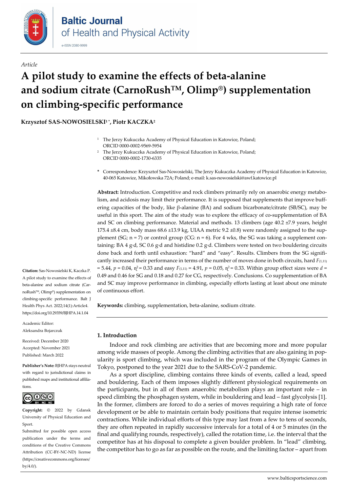

#### *Article*

# **A pilot study to examine the effects of beta-alanine and sodium citrate (CarnoRushTM, Olimp®) supplementation on climbing-specific performance**

**Krzysztof SAS-NOWOSIELSKI1 \*, Piotr KACZKA2**

- <sup>1</sup> The Jerzy Kukuczka Academy of Physical Education in Katowice, Poland; ORCI[D 0000-0002-9569-5954](https://orcid.org/0000-0002-9569-5954)
- <sup>2</sup> The Jerzy Kukuczka Academy of Physical Education in Katowice, Poland; ORCI[D 0000-0002-1730-6335](https://orcid.org/0000-0002-1730-6335)
- **\*** Correspondence: Krzysztof Sas-Nowosielski, The Jerzy Kukuczka Academy of Physical Education in Katowice, 40-065 Katowice, Mikołowska 72A; Poland; e-mail: k.sas-nowosielski@awf.katowice.pl

**Abstract:** Introduction. Competitive and rock climbers primarily rely on anaerobic energy metabolism, and acidosis may limit their performance. It is supposed that supplements that improve buffering capacities of the body, like β-alanine (BA) and sodium bicarbonate/citrate (SB/SC), may be useful in this sport. The aim of the study was to explore the efficacy of co-supplementation of BA and SC on climbing performance. Material and methods. 13 climbers (age 40.2 ±7.9 years, height 175.4  $\pm$ 8.4 cm, body mass 68.6  $\pm$ 13.9 kg, UIAA metric 9.2  $\pm$ 0.8) were randomly assigned to the supplement (SG;  $n = 7$ ) or control group (CG:  $n = 6$ ). For 4 wks, the SG was taking a supplement containing: BA 4 g·d, SC 0.6 g·d and histidine 0.2 g·d. Climbers were tested on two bouldering circuits done back and forth until exhaustion: "hard" and "easy". Results. Climbers from the SG significantly increased their performance in terms of the number of moves done in both circuits, hard *F*(1,11)  $= 5.44$ ,  $p = 0.04$ ,  $p^2 = 0.33$  and easy  $F(1,11) = 4.91$ ,  $p = 0.05$ ,  $q^2 = 0.33$ . Within group effect sizes were  $d =$ 0.49 and 0.46 for SG and 0.18 and 0.27 for CG, respectively. Conclusions. Co supplementation of BA and SC may improve performance in climbing, especially efforts lasting at least about one minute of continuous effort.

**Keywords:** climbing, supplementation, beta-alanine, sodium citrate.

**1. Introduction**

Indoor and rock climbing are activities that are becoming more and more popular among wide masses of people. Among the climbing activities that are also gaining in popularity is sport climbing, which was included in the program of the Olympic Games in Tokyo, postponed to the year 2021 due to the SARS-CoV-2 pandemic.

As a sport discipline, climbing contains three kinds of events, called a lead, speed and bouldering. Each of them imposes slightly different physiological requirements on the participants, but in all of them anaerobic metabolism plays an important role – in speed climbing the phosphagen system, while in bouldering and lead – fast glycolysis [1]. In the former, climbers are forced to do a series of moves requiring a high rate of force development or be able to maintain certain body positions that require intense isometric contractions. While individual efforts of this type may last from a few to tens of seconds, they are often repeated in rapidly successive intervals for a total of 4 or 5 minutes (in the final and qualifying rounds, respectively), called the rotation time, i.e. the interval that the competitor has at his disposal to complete a given boulder problem. In "lead" climbing, the competitor has to go as far as possible on the route, and the limiting factor – apart from

**Citation:** Sas-Nowosielski K, Kaczka P. A pilot study to examine the effects of beta-alanine and sodium citrate (CarnoRush<br/>m, Olimp®) supplementation on climbing-specific performance. Balt J Health Phys Act. 2022;14(1):Article4. https://doi.org/10.29359/BJHPA.14.1.04

Academic Editor:

Aleksandra Bojarczuk

Received: December 2020 Accepted: November 2021 Published: March 2022

**Publisher's Note:** BJHPA stays neutral with regard to jurisdictional claims in published maps and institutional affiliations.



**Copyright:** © 2022 by Gdansk University of Physical Education and Sport.

Submitted for possible open access publication under the terms and conditions of the Creative Commons Attribution (CC-BY-NC-ND) license (https://creativecommons.org/licenses/ by/4.0/).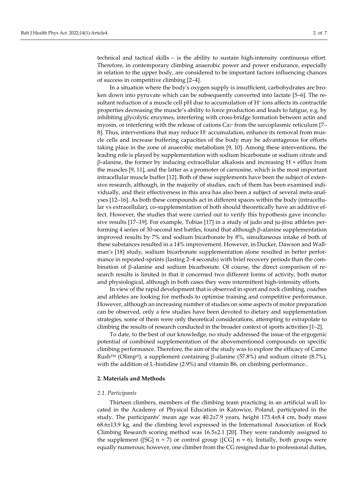technical and tactical skills – is the ability to sustain high-intensity continuous effort. Therefore, in contemporary climbing anaerobic power and power endurance, especially in relation to the upper body, are considered to be important factors influencing chances of success in competitive climbing [2–4].

In a situation where the body's oxygen supply is insufficient, carbohydrates are broken down into pyruvate which can be subsequently converted into lactate [5–6]. The resultant reduction of a muscle cell pH due to accumulation of H<sup>+</sup> ions affects its contractile properties decreasing the muscle's ability to force production and leads to fatigue, e.g. by inhibiting glycolytic enzymes, interfering with cross-bridge formation between actin and myosin, or interfering with the release of cations  $Ca<sub>2</sub>$ <sup>+</sup> from the sarcoplasmic reticulum [7– 8]. Thus, interventions that may reduce  $H^*$  accumulation, enhance its removal from muscle cells and increase buffering capacities of the body may be advantageous for efforts taking place in the zone of anaerobic metabolism [9, 10]. Among these interventions, the leading role is played by supplementation with sodium bicarbonate or sodium citrate and β-alanine, the former by inducing extracellular alkalosis and increasing H + efflux from the muscles [9, 11], and the latter as a promoter of carnosine, which is the most important intracellular muscle buffer [12]. Both of these supplements have been the subject of extensive research, although, in the majority of studies, each of them has been examined individually, and their effectiveness in this area has also been a subject of several meta-analyses [12–16]. As both these compounds act in different spaces within the body (intracellular vs extracellular), co-supplementation of both should theoretically have an additive effect. However, the studies that were carried out to verify this hypothesis gave inconclusive results [17–19]. For example, Tobias [17] in a study of judo and ju-jitsu athletes performing 4 series of 30-second test battles, found that although β-alanine supplementation improved results by 7% and sodium bicarbonate by 8%, simultaneous intake of both of these substances resulted in a 14% improvement. However, in Ducker, Dawson and Wallman's [18] study, sodium bicarbonate supplementation alone resulted in better performance in repeated-sprints (lasting 2–4 seconds) with brief recovery periods than the combination of β-alanine and sodium bicarbonate. Of course, the direct comparison of research results is limited in that it concerned two different forms of activity, both motor and physiological, although in both cases they were intermittent high-intensity efforts.

In view of the rapid development that is observed in sport and rock climbing, coaches and athletes are looking for methods to optimise training and competitive performance. However, although an increasing number of studies on some aspects of motor preparation can be observed, only a few studies have been devoted to dietary and supplementation strategies, some of them were only theoretical considerations, attempting to extrapolate to climbing the results of research conducted in the broader context of sports activities [1–2].

To date, to the best of our knowledge, no study addressed the issue of the ergogenic potential of combined supplementation of the abovementioned compounds on specific climbing performance. Therefore, the aim of the study was to explore the efficacy of Carno Rush<sup>™</sup> (Olimp®), a supplement containing β-alanine (57.8%) and sodium citrate (8.7%), with the addition of L-histidine (2.9%) and vitamin B6, on climbing performance..

#### **2. Materials and Methods**

#### *2.1. Participants*

Thirteen climbers, members of the climbing team practicing in an artificial wall located in the Academy of Physical Education in Katowice, Poland, participated in the study. The participants' mean age was 40.2±7.9 years, height 175.4±8.4 cm, body mass 68.6±13.9 kg, and the climbing level expressed in the International Association of Rock Climbing Research scoring method was 16.5±2.1 [20]. They were randomly assigned to the supplement ([SG]  $n = 7$ ) or control group ([CG]  $n = 6$ ). Initially, both groups were equally numerous; however, one climber from the CG resigned due to professional duties,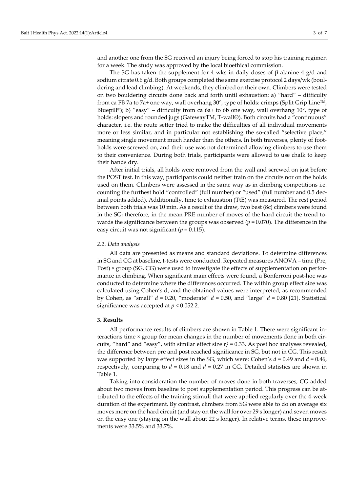and another one from the SG received an injury being forced to stop his training regimen for a week. The study was approved by the local bioethical commission.

The SG has taken the supplement for 4 wks in daily doses of  $\beta$ -alanine 4 g/d and sodium citrate 0.6 g/d. Both groups completed the same exercise protocol 2 days/wk (bouldering and lead climbing). At weekends, they climbed on their own. Climbers were tested on two bouldering circuits done back and forth until exhaustion: a) "hard" – difficulty from ca FB 7a to 7a+ one way, wall overhang 30 $^{\circ}$ , type of holds: crimps (Split Grip Line<sup>TM</sup>, Bluepill®); b) "easy" – difficulty from ca 6a+ to 6b one way, wall overhang  $10^{\circ}$ , type of holds: slopers and rounded jugs (GatewayTM, T-wall®). Both circuits had a "continuous" character, i.e. the route setter tried to make the difficulties of all individual movements more or less similar, and in particular not establishing the so-called "selective place," meaning single movement much harder than the others. In both traverses, plenty of footholds were screwed on, and their use was not determined allowing climbers to use them to their convenience. During both trials, participants were allowed to use chalk to keep their hands dry.

After initial trials, all holds were removed from the wall and screwed on just before the POST test. In this way, participants could neither train on the circuits nor on the holds used on them. Climbers were assessed in the same way as in climbing competitions i.e. counting the furthest hold "controlled" (full number) or "used" (full number and 0.5 decimal points added). Additionally, time to exhaustion (TtE) was measured. The rest period between both trials was 10 min. As a result of the draw, two best (8c) climbers were found in the SG; therefore, in the mean PRE number of moves of the hard circuit the trend towards the significance between the groups was observed ( $p = 0.070$ ). The difference in the easy circuit was not significant (*p* = 0.115).

#### *2.2. Data analysis*

All data are presented as means and standard deviations. To determine differences in SG and CG at baseline, t-tests were conducted. Repeated measures ANOVA – time (Pre, Post) × group (SG, CG) were used to investigate the effects of supplementation on performance in climbing. When significant main effects were found, a Bonferroni post-hoc was conducted to determine where the differences occurred. The within group effect size was calculated using Cohen's d, and the obtained values were interpreted, as recommended by Cohen, as "small" *d* = 0.20, "moderate" *d* = 0.50, and "large" *d* = 0.80 [21]. Statistical significance was accepted at *p* < 0.052.2.

#### **3. Results**

All performance results of climbers are shown in Table 1. There were significant interactions time × group for mean changes in the number of movements done in both circuits, "hard" and "easy", with similar effect size  $n^2 = 0.33$ . As post hoc analyses revealed, the difference between pre and post reached significance in SG, but not in CG. This result was supported by large effect sizes in the SG, which were: Cohen's *d* = 0.49 and *d* = 0.46, respectively, comparing to  $d = 0.18$  and  $d = 0.27$  in CG. Detailed statistics are shown in Table 1.

Taking into consideration the number of moves done in both traverses, CG added about two moves from baseline to post supplementation period. This progress can be attributed to the effects of the training stimuli that were applied regularly over the 4-week duration of the experiment. By contrast, climbers from SG were able to do on average six moves more on the hard circuit (and stay on the wall for over 29 s longer) and seven moves on the easy one (staying on the wall about 22 s longer). In relative terms, these improvements were 33.5% and 33.7%.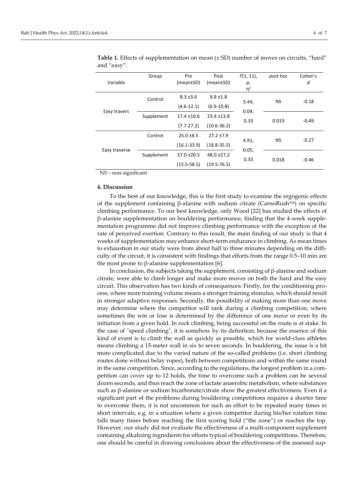| Variable      | Group      | Pre<br>(mean±SD)                   | Post<br>(mean±SD)                  | $F(1, 11)$ ,<br>р,<br>$\eta^2$ | post hoc  | Cohen's<br>d |
|---------------|------------|------------------------------------|------------------------------------|--------------------------------|-----------|--------------|
| Easy travers  | Control    | $8.3 \pm 3.6$<br>$(4.6-12.1)$      | $8.8 \pm 1.8$<br>$(6.9 - 10.8)$    | 5.44,<br>0.04,<br>0.33         | <b>NS</b> | $-0.18$      |
|               | Supplement | $17.4 \pm 10.6$<br>$(7.7 - 27.2)$  | $23.4 \pm 13.8$<br>$(10.6 - 36.2)$ |                                | 0.019     | $-0.49$      |
| Easy traverse | Control    | $25.0 \pm 8.5$<br>$(16.1 - 33.9)$  | $27.2 \pm 7.9$<br>$(18.8 - 35.5)$  | 4.91,<br>0.05,<br>0.33         | <b>NS</b> | $-0.27$      |
|               | Supplement | $37.0 \pm 20.5$<br>$(15.5 - 58.5)$ | $48.0 \pm 27.2$<br>$(19.5 - 76.5)$ |                                | 0.018     | $-0.46$      |

**Table 1.** Effects of supplementation on mean (± SD) number of moves on circuits, "hard" and "easy".

NS – non-significant

#### **4. Discussion**

To the best of our knowledge, this is the first study to examine the ergogenic effects of the supplement containing β-alanine with sodium citrate (CarnoRushTM) on specific climbing performance. To our best knowledge, only Wood [22] has studied the effects of β-alanine supplementation on bouldering performance, finding that the 4-week supplementation programme did not improve climbing performance with the exception of the rate of perceived exertion. Contrary to this result, the main finding of our study is that 4 weeks of supplementation may enhance short-term endurance in climbing. As mean times to exhaustion in our study were from about half to three minutes depending on the difficulty of the circuit, it is consistent with findings that efforts from the range 0.5–10 min are the most prone to β-alanine supplementation [6].

In conclusion, the subjects taking the supplement, consisting of β-alanine and sodium citrate, were able to climb longer and make more moves on both the hard and the easy circuit. This observation has two kinds of consequences: Firstly, for the conditioning process, where more training volume means a stronger training stimulus, which should result in stronger adaptive responses. Secondly, the possibility of making more than one move may determine where the competitor will rank during a climbing competition, where sometimes the win or lose is determined by the difference of one move or even by its initiation from a given hold. In rock climbing, being successful on the route is at stake. In the case of "speed climbing", it is somehow by its definition, because the essence of this kind of event is to climb the wall as quickly as possible, which for world-class athletes means climbing a 15-meter wall in six to seven seconds. In bouldering, the issue is a bit more complicated due to the varied nature of the so-called problems (i.e. short climbing routes done without belay ropes), both between competitions and within the same round in the same competition. Since, according to the regulations, the longest problem in a competition can cover up to 12 holds, the time to overcome such a problem can be several dozen seconds, and thus reach the zone of lactate anaerobic metabolism, where substances such as β-alanine or sodium bicarbonate/citrate show the greatest effectiveness. Even if a significant part of the problems during bouldering competitions requires a shorter time to overcome them, it is not uncommon for such an effort to be repeated many times in short intervals, e.g. in a situation where a given competitor during his/her rotation time falls many times before reaching the first scoring hold ("the zone") or reaches the top. However, our study did not evaluate the effectiveness of a multi-component supplement containing alkalizing ingredients for efforts typical of bouldering competitions. Therefore, one should be careful in drawing conclusions about the effectiveness of the assessed sup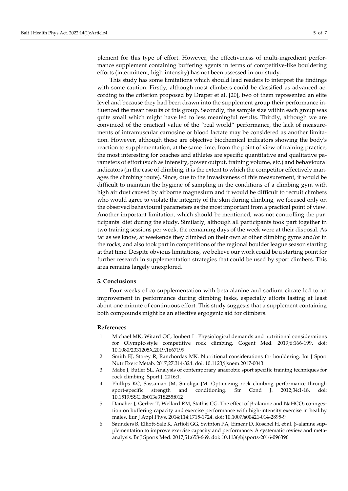plement for this type of effort. However, the effectiveness of multi-ingredient performance supplement containing buffering agents in terms of competitive-like bouldering efforts (intermittent, high-intensity) has not been assessed in our study.

This study has some limitations which should lead readers to interpret the findings with some caution. Firstly, although most climbers could be classified as advanced according to the criterion proposed by Draper et al. [20], two of them represented an elite level and because they had been drawn into the supplement group their performance influenced the mean results of this group. Secondly, the sample size within each group was quite small which might have led to less meaningful results. Thirdly, although we are convinced of the practical value of the "real world" performance, the lack of measurements of intramuscular carnosine or blood lactate may be considered as another limitation. However, although these are objective biochemical indicators showing the body's reaction to supplementation, at the same time, from the point of view of training practice, the most interesting for coaches and athletes are specific quantitative and qualitative parameters of effort (such as intensity, power output, training volume, etc.) and behavioural indicators (in the case of climbing, it is the extent to which the competitor effectively manages the climbing route). Since, due to the invasiveness of this measurement, it would be difficult to maintain the hygiene of sampling in the conditions of a climbing gym with high air dust caused by airborne magnesium and it would be difficult to recruit climbers who would agree to violate the integrity of the skin during climbing, we focused only on the observed behavioural parameters as the most important from a practical point of view. Another important limitation, which should be mentioned, was not controlling the participants' diet during the study. Similarly, although all participants took part together in two training sessions per week, the remaining days of the week were at their disposal. As far as we know, at weekends they climbed on their own at other climbing gyms and/or in the rocks, and also took part in competitions of the regional boulder league season starting at that time. Despite obvious limitations, we believe our work could be a starting point for further research in supplementation strategies that could be used by sport climbers. This area remains largely unexplored.

#### **5. Conclusions**

Four weeks of co supplementation with beta-alanine and sodium citrate led to an improvement in performance during climbing tasks, especially efforts lasting at least about one minute of continuous effort. This study suggests that a supplement containing both compounds might be an effective ergogenic aid for climbers.

#### **References**

- 1. Michael MK, Witard OC, Joubert L. Physiological demands and nutritional considerations for Olympic-style competitive rock climbing. Cogent Med. 2019;6:166-199. doi: [10.1080/2331205X.2019.1667199](https://doi.org/10.1080/2331205X.2019.1667199)
- 2. Smith EJ, Storey R, Ranchordas MK. Nutritional considerations for bouldering. Int J Sport Nutr Exerc Metab. 2017;27:314-324. doi: [10.1123/ijsnem.2017-0043](https://doi.org/10.1123/ijsnem.2017-0043)
- 3. Mabe J, Butler SL. Analysis of contemporary anaerobic sport specific training techniques for rock climbing. Sport J. 2016;1.
- 4. Phillips KC, Sassaman JM, Smoliga JM. Optimizing rock climbing performance through sport-specific strength and conditioning. Str Cond J. 2012;34:1-18. doi: [10.1519/SSC.0b013e318255f012](https://doi.org/10.1519/SSC.0b013e318255f012)
- 5. Danaher J, Gerber T, Wellard RM, Stathis CG. The effect of β-alanine and NaHCO3 co-ingestion on buffering capacity and exercise performance with high-intensity exercise in healthy males. Eur J Appl Phys. 2014;114:1715-1724. doi: [10.1007/s00421-014-2895-9](https://doi.org/10.1007/s00421-014-2895-9)
- 6. Saunders B, Elliott-Sale K, Artioli GG, Swinton PA, Eimear D, Roschel H, et al. β-alanine supplementation to improve exercise capacity and performance: A systematic review and metaanalysis. Br J Sports Med. 2017;51:658-669. doi: [10.1136/bjsports-2016-096396](https://doi.org/10.1136/bjsports-2016-096396)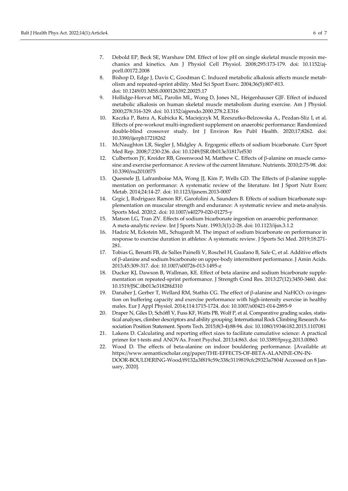- 7. Debold EP, Beck SE, Warshaw DM. Effect of low pH on single skeletal muscle myosin mechanics and kinetics. Am J Physiol Cell Physiol. 2008;295:173-179. doi: [10.1152/aj](https://doi.org/10.1152/ajpcell.00172.2008)[pcell.00172.2008](https://doi.org/10.1152/ajpcell.00172.2008)
- 8. Bishop D, Edge J, Davis C, Goodman C. Induced metabolic alkalosis affects muscle metabolism and repeated-sprint ability. Med Sci Sport Exerc. 2004;36(5):807-813. doi: [10.1249/01.MSS.0000126392.20025.17](https://doi.org/10.1249/01.MSS.0000126392.20025.17)
- 9. Hollidge-Horvat MG, Parolin ML, Wong D, Jones NL, Heigenhauser GJF. Effect of induced metabolic alkalosis on human skeletal muscle metabolism during exercise. Am J Physiol. 2000;278:316-329. doi: [10.1152/ajpendo.2000.278.2.E316](https://doi.org/10.1152/ajpendo.2000.278.2.E316)
- 10. Kaczka P, Batra A, Kubicka K, Maciejczyk M, Rzeszutko-Belzowska A., Pezdan-Sliz I, et al. Effects of pre-workout multi-ingredient supplement on anaerobic performance: Randomized double-blind crossover study. Int J Environ Res Publ Health. 2020;17;8262. doi: [10.3390/ijerph17218262](https://doi.org/10.3390/ijerph17218262)
- 11. McNaughton LR, Siegler J, Midgley A. Ergogenic effects of sodium bicarbonate. Curr Sport Med Rep. 2008;7:230-236. doi: [10.1249/JSR.0b013e31817ef530](https://doi.org/10.1249/JSR.0b013e31817ef530)
- 12. Culbertson JY, Kreider RB, Greenwood M, Matthew C. Effects of β-alanine on muscle carnosine and exercise performance: A review of the current literature. Nutrients. 2010;2:75-98. doi: [10.3390/nu2010075](https://doi.org/10.3390/nu2010075)
- 13. Quesnele JJ, Laframboise MA, Wong JJ, Kim P, Wells GD. The Effects of β-alanine supplementation on performance: A systematic review of the literature. Int J Sport Nutr Exerc Metab. 2014;24:14-27. doi: [10.1123/ijsnem.2013-0007](https://doi.org/10.1123/ijsnem.2013-0007)
- 14. Grgic J, Rodriguez Ramon RF, Garofolini A, Saunders B. Effects of sodium bicarbonate supplementation on muscular strength and endurance: A systematic review and meta-analysis. Sports Med. 2020;2. doi: [10.1007/s40279-020-01275-y](https://doi.org/10.1007/s40279-020-01275-y)
- 15. Matson LG, Tran ZV. Effects of sodium bicarbonate ingestion on anaerobic performance: A meta-analytic review. Int J Sports Nutr. 1993;3(1):2-28. doi: [10.1123/ijsn.3.1.2](https://doi.org/10.1123/ijsn.3.1.2)
- 16. Hadzic M, Eckstein ML, Schugardt M. The impact of sodium bicarbonate on performance in response to exercise duration in athletes: A systematic review. J Sports Sci Med. 2019;18:271- 281.
- 17. Tobias G, Benatti FB, de Salles Painelli V, Roschel H, Gualano B, Sale C, et al. Additive effects of β-alanine and sodium bicarbonate on upper-body intermittent performance. J Amin Acids. 2013;45:309-317. doi[: 10.1007/s00726-013-1495-z](https://doi.org/10.1007/s00726-013-1495-z)
- 18. Ducker KJ, Dawson B, Wallman, KE. Effect of beta alanine and sodium bicarbonate supplementation on repeated-sprint performance. J Strength Cond Res. 2013:27(12):3450-3460. doi: [10.1519/JSC.0b013e31828fd310](https://doi.org/10.1519/JSC.0b013e31828fd310)
- 19. Danaher J, Gerber T, Wellard RM, Stathis CG. The effect of β-alanine and NaHCO3 co-ingestion on buffering capacity and exercise performance with high-intensity exercise in healthy males. Eur J Appl Physiol. 2014;114:1715-1724. doi[: 10.1007/s00421-014-2895-9](https://doi.org/10.1007/s00421-014-2895-9)
- 20. Draper N, Giles D, Schöffl V, Fuss KF, Watts PB, Wolf P, et al. Comparative grading scales, statistical analyses, climber descriptors and ability grouping: International Rock Climbing Research Association Position Statement. Sports Tech. 2015;8(3-4):88-94. doi: [10.1080/19346182.2015.1107081](https://www.tandfonline.com/doi/full/10.1080/19346182.2015.1107081)
- 21. Lakens D. Calculating and reporting effect sizes to facilitate cumulative science: A practical primer for t-tests and ANOVAs. Front Psychol. 2013;4:863. doi: [10.3389/fpsyg.2013.00863](https://doi.org/10.3389/fpsyg.2013.00863)
- 22. Wood D. The effects of beta-alanine on indoor bouldering performance. [Available at: [https://www.semanticscholar.org/paper/THE-EFFECTS-OF-BETA-ALANINE-ON-IN-](https://www.semanticscholar.org/paper/THE-EFFECTS-OF-BETA-ALANINE-ON-INDOOR-BOULDERING-Wood/f9132a3f819c59c338c3119819cfc29323a7804f)[DOOR-BOULDERING-Wood/f9132a3f819c59c338c3119819cfc29323a7804f](https://www.semanticscholar.org/paper/THE-EFFECTS-OF-BETA-ALANINE-ON-INDOOR-BOULDERING-Wood/f9132a3f819c59c338c3119819cfc29323a7804f) Accessed on 8 January, 2020].